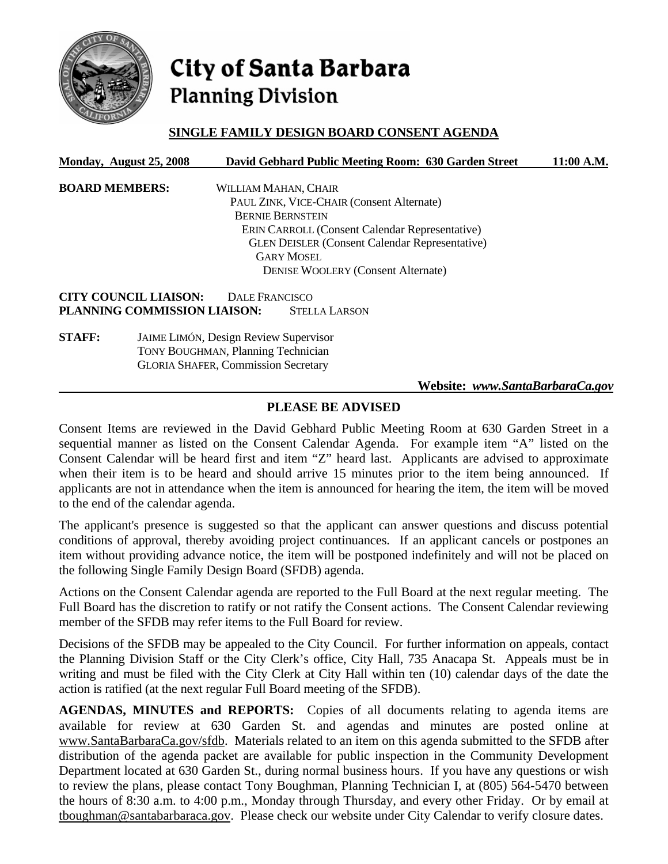

# City of Santa Barbara **Planning Division**

# **SINGLE FAMILY DESIGN BOARD CONSENT AGENDA**

| Monday, August 25, 2008 |                                              |                       | David Gebhard Public Meeting Room: 630 Garden Street  | 11:00 A.M. |
|-------------------------|----------------------------------------------|-----------------------|-------------------------------------------------------|------------|
| <b>BOARD MEMBERS:</b>   |                                              | WILLIAM MAHAN, CHAIR  |                                                       |            |
|                         |                                              |                       | PAUL ZINK, VICE-CHAIR (Consent Alternate)             |            |
|                         |                                              |                       | <b>BERNIE BERNSTEIN</b>                               |            |
|                         |                                              |                       | <b>ERIN CARROLL (Consent Calendar Representative)</b> |            |
|                         |                                              |                       | <b>GLEN DEISLER (Consent Calendar Representative)</b> |            |
| <b>GARY MOSEL</b>       |                                              |                       |                                                       |            |
|                         |                                              |                       | <b>DENISE WOOLERY (Consent Alternate)</b>             |            |
|                         | <b>CITY COUNCIL LIAISON:</b>                 | <b>DALE FRANCISCO</b> |                                                       |            |
|                         | PLANNING COMMISSION LIAISON:                 |                       | <b>STELLA LARSON</b>                                  |            |
| <b>STAFF:</b>           | <b>JAIME LIMÓN, Design Review Supervisor</b> |                       |                                                       |            |
|                         | <b>TONY BOUGHMAN, Planning Technician</b>    |                       |                                                       |            |
|                         | <b>GLORIA SHAFER, Commission Secretary</b>   |                       |                                                       |            |
|                         |                                              |                       | Website: www.SantaBarbaraCa.gov                       |            |

# **PLEASE BE ADVISED**

Consent Items are reviewed in the David Gebhard Public Meeting Room at 630 Garden Street in a sequential manner as listed on the Consent Calendar Agenda. For example item "A" listed on the Consent Calendar will be heard first and item "Z" heard last. Applicants are advised to approximate when their item is to be heard and should arrive 15 minutes prior to the item being announced. If applicants are not in attendance when the item is announced for hearing the item, the item will be moved to the end of the calendar agenda.

The applicant's presence is suggested so that the applicant can answer questions and discuss potential conditions of approval, thereby avoiding project continuances. If an applicant cancels or postpones an item without providing advance notice, the item will be postponed indefinitely and will not be placed on the following Single Family Design Board (SFDB) agenda.

Actions on the Consent Calendar agenda are reported to the Full Board at the next regular meeting. The Full Board has the discretion to ratify or not ratify the Consent actions. The Consent Calendar reviewing member of the SFDB may refer items to the Full Board for review.

Decisions of the SFDB may be appealed to the City Council. For further information on appeals, contact the Planning Division Staff or the City Clerk's office, City Hall, 735 Anacapa St. Appeals must be in writing and must be filed with the City Clerk at City Hall within ten (10) calendar days of the date the action is ratified (at the next regular Full Board meeting of the SFDB).

**AGENDAS, MINUTES and REPORTS:** Copies of all documents relating to agenda items are available for review at 630 Garden St. and agendas and minutes are posted online at www.SantaBarbaraCa.gov/sfdb. Materials related to an item on this agenda submitted to the SFDB after distribution of the agenda packet are available for public inspection in the Community Development Department located at 630 Garden St., during normal business hours. If you have any questions or wish to review the plans, please contact Tony Boughman, Planning Technician I, at (805) 564-5470 between the hours of 8:30 a.m. to 4:00 p.m., Monday through Thursday, and every other Friday. Or by email at tboughman@santabarbaraca.gov. Please check our website under City Calendar to verify closure dates.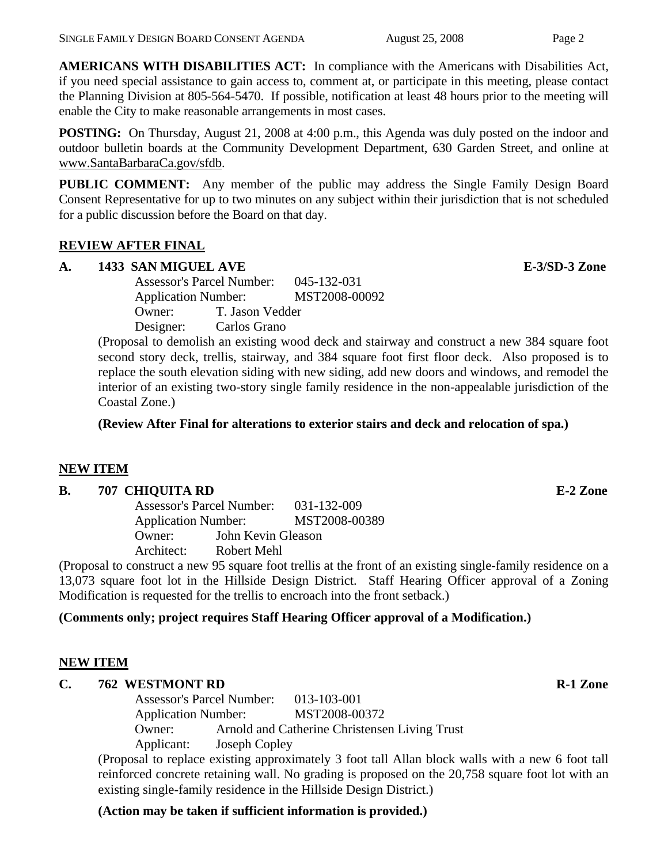**AMERICANS WITH DISABILITIES ACT:** In compliance with the Americans with Disabilities Act, if you need special assistance to gain access to, comment at, or participate in this meeting, please contact the Planning Division at 805-564-5470. If possible, notification at least 48 hours prior to the meeting will enable the City to make reasonable arrangements in most cases.

**POSTING:** On Thursday, August 21, 2008 at 4:00 p.m., this Agenda was duly posted on the indoor and outdoor bulletin boards at the Community Development Department, 630 Garden Street, and online at www.SantaBarbaraCa.gov/sfdb.

**PUBLIC COMMENT:** Any member of the public may address the Single Family Design Board Consent Representative for up to two minutes on any subject within their jurisdiction that is not scheduled for a public discussion before the Board on that day.

# **REVIEW AFTER FINAL**

# **A. 1433 SAN MIGUEL AVE E-3/SD-3 Zone**

 Assessor's Parcel Number: 045-132-031 Application Number: MST2008-00092 Owner: T. Jason Vedder Designer: Carlos Grano

(Proposal to demolish an existing wood deck and stairway and construct a new 384 square foot second story deck, trellis, stairway, and 384 square foot first floor deck. Also proposed is to replace the south elevation siding with new siding, add new doors and windows, and remodel the interior of an existing two-story single family residence in the non-appealable jurisdiction of the Coastal Zone.)

**(Review After Final for alterations to exterior stairs and deck and relocation of spa.)** 

# **NEW ITEM**

### **B. 707 CHIQUITA RD E-2 Zone**

 Assessor's Parcel Number: 031-132-009 Application Number: MST2008-00389 Owner: John Kevin Gleason Architect: Robert Mehl

(Proposal to construct a new 95 square foot trellis at the front of an existing single-family residence on a 13,073 square foot lot in the Hillside Design District. Staff Hearing Officer approval of a Zoning Modification is requested for the trellis to encroach into the front setback.)

# **(Comments only; project requires Staff Hearing Officer approval of a Modification.)**

### **NEW ITEM**

### **C.** 762 WESTMONT RD **R-1 Zone**

 Assessor's Parcel Number: 013-103-001 Application Number: MST2008-00372 Owner: Arnold and Catherine Christensen Living Trust Applicant: Joseph Copley

(Proposal to replace existing approximately 3 foot tall Allan block walls with a new 6 foot tall reinforced concrete retaining wall. No grading is proposed on the 20,758 square foot lot with an existing single-family residence in the Hillside Design District.)

### **(Action may be taken if sufficient information is provided.)**